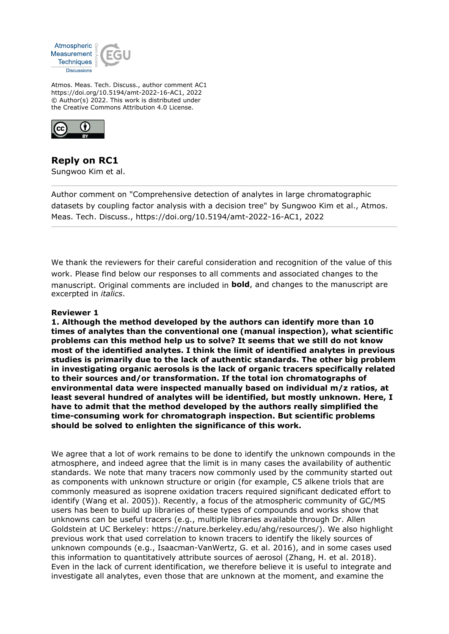

Atmos. Meas. Tech. Discuss., author comment AC1 https://doi.org/10.5194/amt-2022-16-AC1, 2022 © Author(s) 2022. This work is distributed under the Creative Commons Attribution 4.0 License.



**Reply on RC1** Sungwoo Kim et al.

Author comment on "Comprehensive detection of analytes in large chromatographic datasets by coupling factor analysis with a decision tree" by Sungwoo Kim et al., Atmos. Meas. Tech. Discuss., https://doi.org/10.5194/amt-2022-16-AC1, 2022

We thank the reviewers for their careful consideration and recognition of the value of this work. Please find below our responses to all comments and associated changes to the manuscript. Original comments are included in **bold**, and changes to the manuscript are excerpted in *italics*.

## **Reviewer 1**

**1. Although the method developed by the authors can identify more than 10 times of analytes than the conventional one (manual inspection), what scientific problems can this method help us to solve? It seems that we still do not know most of the identified analytes. I think the limit of identified analytes in previous studies is primarily due to the lack of authentic standards. The other big problem in investigating organic aerosols is the lack of organic tracers specifically related to their sources and/or transformation. If the total ion chromatographs of environmental data were inspected manually based on individual m/z ratios, at least several hundred of analytes will be identified, but mostly unknown. Here, I have to admit that the method developed by the authors really simplified the time-consuming work for chromatograph inspection. But scientific problems should be solved to enlighten the significance of this work.**

We agree that a lot of work remains to be done to identify the unknown compounds in the atmosphere, and indeed agree that the limit is in many cases the availability of authentic standards. We note that many tracers now commonly used by the community started out as components with unknown structure or origin (for example, C5 alkene triols that are commonly measured as isoprene oxidation tracers required significant dedicated effort to identify (Wang et al. 2005)). Recently, a focus of the atmospheric community of GC/MS users has been to build up libraries of these types of compounds and works show that unknowns can be useful tracers (e.g., multiple libraries available through Dr. Allen Goldstein at UC Berkeley: https://nature.berkeley.edu/ahg/resources/). We also highlight previous work that used correlation to known tracers to identify the likely sources of unknown compounds (e.g., Isaacman-VanWertz, G. et al. 2016), and in some cases used this information to quantitatively attribute sources of aerosol (Zhang, H. et al. 2018). Even in the lack of current identification, we therefore believe it is useful to integrate and investigate all analytes, even those that are unknown at the moment, and examine the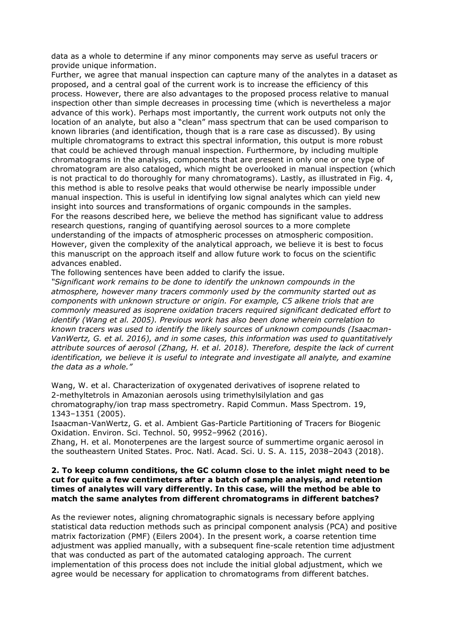data as a whole to determine if any minor components may serve as useful tracers or provide unique information.

Further, we agree that manual inspection can capture many of the analytes in a dataset as proposed, and a central goal of the current work is to increase the efficiency of this process. However, there are also advantages to the proposed process relative to manual inspection other than simple decreases in processing time (which is nevertheless a major advance of this work). Perhaps most importantly, the current work outputs not only the location of an analyte, but also a "clean" mass spectrum that can be used comparison to known libraries (and identification, though that is a rare case as discussed). By using multiple chromatograms to extract this spectral information, this output is more robust that could be achieved through manual inspection. Furthermore, by including multiple chromatograms in the analysis, components that are present in only one or one type of chromatogram are also cataloged, which might be overlooked in manual inspection (which is not practical to do thoroughly for many chromatograms). Lastly, as illustrated in Fig. 4, this method is able to resolve peaks that would otherwise be nearly impossible under manual inspection. This is useful in identifying low signal analytes which can yield new insight into sources and transformations of organic compounds in the samples. For the reasons described here, we believe the method has significant value to address research questions, ranging of quantifying aerosol sources to a more complete understanding of the impacts of atmospheric processes on atmospheric composition. However, given the complexity of the analytical approach, we believe it is best to focus this manuscript on the approach itself and allow future work to focus on the scientific advances enabled.

The following sentences have been added to clarify the issue.

*"Significant work remains to be done to identify the unknown compounds in the atmosphere, however many tracers commonly used by the community started out as components with unknown structure or origin. For example, C5 alkene triols that are commonly measured as isoprene oxidation tracers required significant dedicated effort to identify (Wang et al. 2005). Previous work has also been done wherein correlation to known tracers was used to identify the likely sources of unknown compounds (Isaacman-VanWertz, G. et al. 2016), and in some cases, this information was used to quantitatively attribute sources of aerosol (Zhang, H. et al. 2018). Therefore, despite the lack of current identification, we believe it is useful to integrate and investigate all analyte, and examine the data as a whole."*

Wang, W. et al. Characterization of oxygenated derivatives of isoprene related to 2-methyltetrols in Amazonian aerosols using trimethylsilylation and gas chromatography/ion trap mass spectrometry. Rapid Commun. Mass Spectrom. 19, 1343–1351 (2005).

Isaacman-VanWertz, G. et al. Ambient Gas-Particle Partitioning of Tracers for Biogenic Oxidation. Environ. Sci. Technol. 50, 9952–9962 (2016).

Zhang, H. et al. Monoterpenes are the largest source of summertime organic aerosol in the southeastern United States. Proc. Natl. Acad. Sci. U. S. A. 115, 2038–2043 (2018).

## **2. To keep column conditions, the GC column close to the inlet might need to be cut for quite a few centimeters after a batch of sample analysis, and retention times of analytes will vary differently. In this case, will the method be able to match the same analytes from different chromatograms in different batches?**

As the reviewer notes, aligning chromatographic signals is necessary before applying statistical data reduction methods such as principal component analysis (PCA) and positive matrix factorization (PMF) (Eilers 2004). In the present work, a coarse retention time adjustment was applied manually, with a subsequent fine-scale retention time adjustment that was conducted as part of the automated cataloging approach. The current implementation of this process does not include the initial global adjustment, which we agree would be necessary for application to chromatograms from different batches.